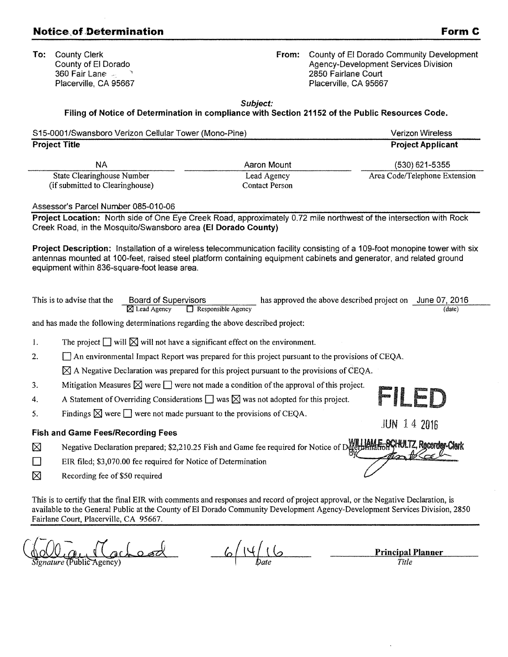## **Notice of Determination Form C**

To: County Clerk County of El Dorado 360 Fair Lane Placerville, CA 95667 From: County of El Dorado Community Development Agency-Development Services Division 2850 Fairlane Court Placerville, CA 95667

Subject:

## Filing of Notice of Determination in compliance with Section 21152 of the Public Resources Code.

|    | <b>Project Title</b>                                                |                                                                                                                                                                                                                                                                  |                                                                     |
|----|---------------------------------------------------------------------|------------------------------------------------------------------------------------------------------------------------------------------------------------------------------------------------------------------------------------------------------------------|---------------------------------------------------------------------|
|    |                                                                     |                                                                                                                                                                                                                                                                  | <b>Project Applicant</b>                                            |
|    | <b>NA</b>                                                           | Aaron Mount                                                                                                                                                                                                                                                      | (530) 621-5355                                                      |
|    | <b>State Clearinghouse Number</b>                                   | Lead Agency                                                                                                                                                                                                                                                      | Area Code/Telephone Extension                                       |
|    | (if submitted to Clearinghouse)                                     | <b>Contact Person</b>                                                                                                                                                                                                                                            |                                                                     |
|    | Assessor's Parcel Number 085-010-06                                 |                                                                                                                                                                                                                                                                  |                                                                     |
|    | Creek Road, in the Mosquito/Swansboro area (El Dorado County)       | Project Location: North side of One Eye Creek Road, approximately 0.72 mile northwest of the intersection with Rock                                                                                                                                              |                                                                     |
|    | equipment within 836-square-foot lease area.                        | Project Description: Installation of a wireless telecommunication facility consisting of a 109-foot monopine tower with six<br>antennas mounted at 100-feet, raised steel platform containing equipment cabinets and generator, and related ground               |                                                                     |
|    | This is to advise that the<br>Board of Supervisors<br>⊠ Lead Agency | Responsible Agency                                                                                                                                                                                                                                               | has approved the above described project on June 07, 2016<br>(date) |
|    |                                                                     | and has made the following determinations regarding the above described project:                                                                                                                                                                                 |                                                                     |
| 1. |                                                                     | The project $\Box$ will $\boxtimes$ will not have a significant effect on the environment.                                                                                                                                                                       |                                                                     |
| 2. |                                                                     | $\Box$ An environmental Impact Report was prepared for this project pursuant to the provisions of CEQA.                                                                                                                                                          |                                                                     |
|    |                                                                     | $\boxtimes$ A Negative Declaration was prepared for this project pursuant to the provisions of CEQA.                                                                                                                                                             |                                                                     |
| 3. |                                                                     | Mitigation Measures $\boxtimes$ were $\Box$ were not made a condition of the approval of this project.                                                                                                                                                           |                                                                     |
| 4. |                                                                     | A Statement of Overriding Considerations $\Box$ was $\boxtimes$ was not adopted for this project.                                                                                                                                                                | FILED                                                               |
| 5. |                                                                     | Findings $\boxtimes$ were $\Box$ were not made pursuant to the provisions of CEQA.                                                                                                                                                                               | <b>JUN 14 2016</b>                                                  |
|    | <b>Fish and Game Fees/Recording Fees</b>                            |                                                                                                                                                                                                                                                                  |                                                                     |
| ⊠  |                                                                     | Negative Declaration prepared; \$2,210.25 Fish and Game fee required for Notice of Defermination WILIAME SCHUTZ, Recorder Clerk                                                                                                                                  |                                                                     |
| П  | EIR filed; \$3,070.00 fee required for Notice of Determination      |                                                                                                                                                                                                                                                                  |                                                                     |
| ⊠  | Recording fee of \$50 required                                      |                                                                                                                                                                                                                                                                  |                                                                     |
|    | Fairlane Court, Placerville, CA 95667.                              | This is to certify that the final EIR with comments and responses and record of project approval, or the Negative Declaration, is<br>available to the General Public at the County of El Dorado Community Development Agency-Development Services Division, 2850 |                                                                     |
|    | $\mathcal{M}$ of $\mathcal{M}$                                      | $\ell$ at $\ell$                                                                                                                                                                                                                                                 |                                                                     |

 $\bigotimes_{\text{Signature}}\bigcup_{\text{Public Agency}}\bigcup_{\text{Qgency}}\bigcup_{\text{Qgency}}\bigotimes_{\text{Title}}$ 

*Title*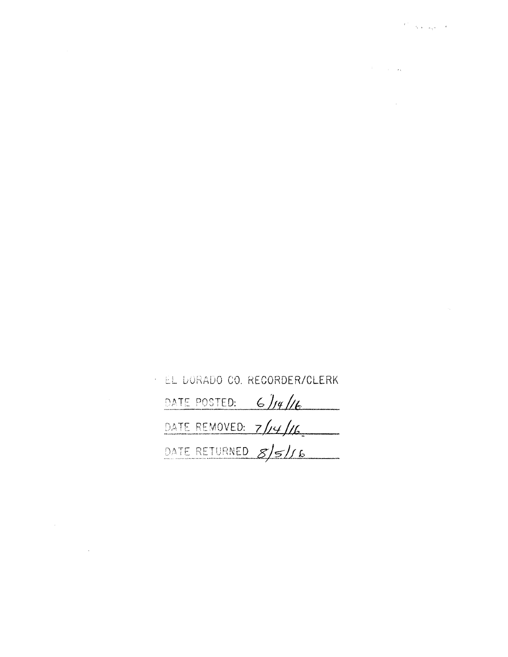$\label{eq:2.1} \mathcal{L}_{\mathcal{A}}(\mathcal{A})=\mathcal{L}_{\mathcal{A}}(\mathcal{A})\mathcal{A}(\mathcal{A})=\mathcal{L}_{\mathcal{A}}(\mathcal{A})\mathcal{A}(\mathcal{A}).$ 

 $\label{eq:2.1} \frac{1}{\sqrt{2}}\int_{0}^{\infty}\frac{1}{\sqrt{2\pi}}\left(\frac{1}{\sqrt{2\pi}}\right)^{2\alpha} \frac{1}{\sqrt{2\pi}}\int_{0}^{\infty}\frac{1}{\sqrt{2\pi}}\left(\frac{1}{\sqrt{2\pi}}\right)^{\alpha} \frac{1}{\sqrt{2\pi}}\frac{1}{\sqrt{2\pi}}\int_{0}^{\infty}\frac{1}{\sqrt{2\pi}}\frac{1}{\sqrt{2\pi}}\frac{1}{\sqrt{2\pi}}\frac{1}{\sqrt{2\pi}}\frac{1}{\sqrt{2\pi}}\frac{1}{\sqrt{2\pi}}$ 

| : EL DORADO CO. RECORDER/CLERK |
|--------------------------------|
| DATE POSTED:<br>6/14/16        |
| DATE REMOVED: $7/\sqrt{4}/6$   |
| DATE RETURNED 8/5/16           |

 $\label{eq:2.1} \frac{1}{\sqrt{2}}\left(\frac{1}{\sqrt{2}}\right)^{2} \left(\frac{1}{\sqrt{2}}\right)^{2} \left(\frac{1}{\sqrt{2}}\right)^{2} \left(\frac{1}{\sqrt{2}}\right)^{2} \left(\frac{1}{\sqrt{2}}\right)^{2} \left(\frac{1}{\sqrt{2}}\right)^{2} \left(\frac{1}{\sqrt{2}}\right)^{2} \left(\frac{1}{\sqrt{2}}\right)^{2} \left(\frac{1}{\sqrt{2}}\right)^{2} \left(\frac{1}{\sqrt{2}}\right)^{2} \left(\frac{1}{\sqrt{2}}\right)^{2} \left(\$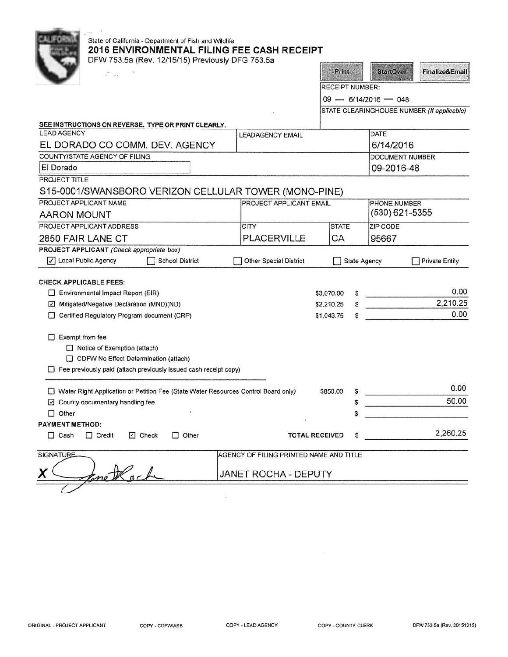| State of California - Department of Fish and Wildlife<br>2016 ENVIRONMENTAL FILING FEE CASH RECEIPT<br>DFW 753.5a (Rev. 12/15/15) Previously DFG 753.5a |                                         |                        |                        |   |                        |                                            |  |
|---------------------------------------------------------------------------------------------------------------------------------------------------------|-----------------------------------------|------------------------|------------------------|---|------------------------|--------------------------------------------|--|
| $\overline{A_1}=\overline{A_1}$                                                                                                                         |                                         |                        | Print                  |   | <b>StartOver</b>       | <b>Finalize&amp;Email</b>                  |  |
|                                                                                                                                                         |                                         |                        | <b>RECEIPT NUMBER:</b> |   |                        |                                            |  |
|                                                                                                                                                         |                                         | $09 - 6/14/2016 - 048$ |                        |   |                        |                                            |  |
|                                                                                                                                                         |                                         |                        |                        |   |                        | STATE CLEARINGHOUSE NUMBER (If applicable) |  |
| SEE INSTRUCTIONS ON REVERSE. TYPE OR PRINT CLEARLY.                                                                                                     |                                         |                        |                        |   |                        |                                            |  |
| <b>LEAD AGENCY</b>                                                                                                                                      | <b>LEADAGENCY EMAIL</b>                 |                        |                        |   | <b>DATE</b>            |                                            |  |
| EL DORADO CO COMM. DEV. AGENCY                                                                                                                          |                                         |                        |                        |   | 6/14/2016              |                                            |  |
| COUNTY/STATE AGENCY OF FILING                                                                                                                           |                                         |                        |                        |   | <b>DOCUMENT NUMBER</b> |                                            |  |
| El Dorado                                                                                                                                               |                                         |                        |                        |   | 09-2016-48             |                                            |  |
| PROJECT TITLE                                                                                                                                           |                                         |                        |                        |   |                        |                                            |  |
| S15-0001/SWANSBORO VERIZON CELLULAR TOWER (MONO-PINE)                                                                                                   |                                         |                        |                        |   |                        |                                            |  |
| PROJECT APPLICANT NAME                                                                                                                                  | PROJECT APPLICANT EMAIL                 |                        |                        |   | PHONE NUMBER           |                                            |  |
| <b>AARON MOUNT</b>                                                                                                                                      |                                         |                        |                        |   | $(530)$ 621-5355       |                                            |  |
| PROJECT APPLICANT ADDRESS                                                                                                                               | <b>CITY</b>                             |                        | <b>STATE</b>           |   | <b>ZIP CODE</b>        |                                            |  |
| 2850 FAIR LANE CT                                                                                                                                       | <b>PLACERVILLE</b>                      |                        | CA                     |   | 95667                  |                                            |  |
| PROJECT APPLICANT (Check appropriate box)                                                                                                               |                                         |                        |                        |   |                        |                                            |  |
| √ Local Public Agency<br><b>School District</b>                                                                                                         | <b>Other Special District</b>           |                        |                        |   | <b>State Agency</b>    | <b>Private Entity</b>                      |  |
|                                                                                                                                                         |                                         |                        |                        |   |                        |                                            |  |
| <b>CHECK APPLICABLE FEES:</b>                                                                                                                           |                                         |                        |                        |   |                        |                                            |  |
| $\Box$ Environmental Impact Report (EIR)                                                                                                                |                                         | \$3,070.00             |                        |   |                        | 0.00                                       |  |
| Mitigated/Negative Declaration (MND)(ND)                                                                                                                |                                         | \$2,210.25             |                        |   |                        | 2,210.25                                   |  |
| Certified Regulatory Program document (CRP)                                                                                                             |                                         | \$1,043.75             |                        | s |                        | 0.00                                       |  |
|                                                                                                                                                         |                                         |                        |                        |   |                        |                                            |  |
| $\Box$ Exempt from fee                                                                                                                                  |                                         |                        |                        |   |                        |                                            |  |
| Notice of Exemption (attach)                                                                                                                            |                                         |                        |                        |   |                        |                                            |  |
| CDFW No Effect Determination (attach)                                                                                                                   |                                         |                        |                        |   |                        |                                            |  |
| $\Box$ Fee previously paid (attach previously issued cash receipt copy)                                                                                 |                                         |                        |                        |   |                        |                                            |  |
|                                                                                                                                                         |                                         |                        |                        |   |                        | 0.00                                       |  |
| Water Right Application or Petition Fee (State Water Resources Control Board only)                                                                      |                                         | \$850.00               |                        | s |                        | 50.00                                      |  |
| County documentary handling fee                                                                                                                         |                                         |                        |                        |   |                        |                                            |  |
| $\Box$ Other<br><b>PAYMENT METHOD:</b>                                                                                                                  |                                         |                        |                        |   |                        |                                            |  |
| $\Box$ Credit<br>□ Check<br>$\Box$ Cash<br>$\Box$ Other                                                                                                 | <b>TOTAL RECEIVED</b>                   |                        |                        | s |                        | 2,260.25                                   |  |
| <b>SIGNATURE</b>                                                                                                                                        | AGENCY OF FILING PRINTED NAME AND TITLE |                        |                        |   |                        |                                            |  |
| methoch<br>X                                                                                                                                            | JANET ROCHA - DEPUTY                    |                        |                        |   |                        |                                            |  |
|                                                                                                                                                         |                                         |                        |                        |   |                        |                                            |  |

 $\sim 10$